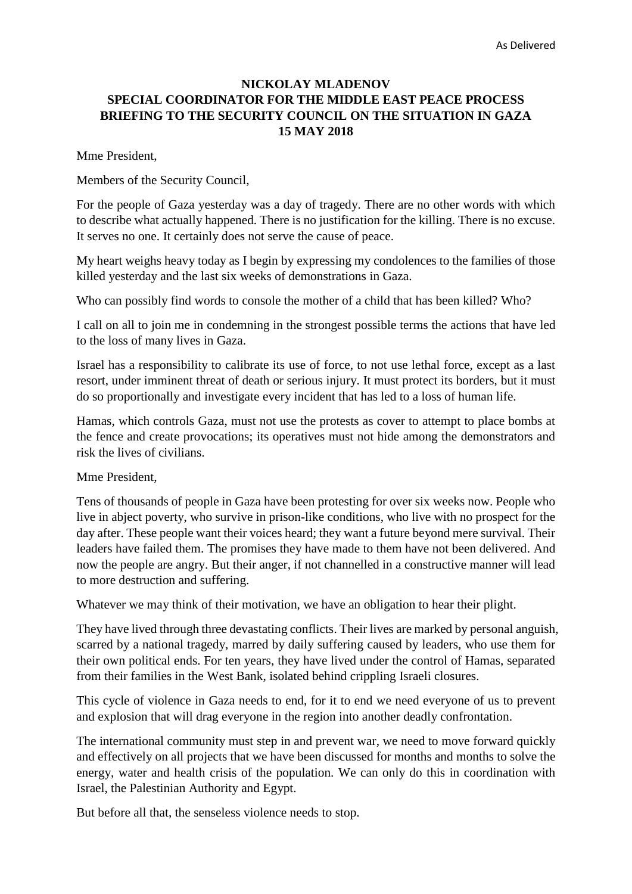# **NICKOLAY MLADENOV SPECIAL COORDINATOR FOR THE MIDDLE EAST PEACE PROCESS BRIEFING TO THE SECURITY COUNCIL ON THE SITUATION IN GAZA 15 MAY 2018**

Mme President,

Members of the Security Council,

For the people of Gaza yesterday was a day of tragedy. There are no other words with which to describe what actually happened. There is no justification for the killing. There is no excuse. It serves no one. It certainly does not serve the cause of peace.

My heart weighs heavy today as I begin by expressing my condolences to the families of those killed yesterday and the last six weeks of demonstrations in Gaza.

Who can possibly find words to console the mother of a child that has been killed? Who?

I call on all to join me in condemning in the strongest possible terms the actions that have led to the loss of many lives in Gaza.

Israel has a responsibility to calibrate its use of force, to not use lethal force, except as a last resort, under imminent threat of death or serious injury. It must protect its borders, but it must do so proportionally and investigate every incident that has led to a loss of human life.

Hamas, which controls Gaza, must not use the protests as cover to attempt to place bombs at the fence and create provocations; its operatives must not hide among the demonstrators and risk the lives of civilians.

Mme President,

Tens of thousands of people in Gaza have been protesting for over six weeks now. People who live in abject poverty, who survive in prison-like conditions, who live with no prospect for the day after. These people want their voices heard; they want a future beyond mere survival. Their leaders have failed them. The promises they have made to them have not been delivered. And now the people are angry. But their anger, if not channelled in a constructive manner will lead to more destruction and suffering.

Whatever we may think of their motivation, we have an obligation to hear their plight.

They have lived through three devastating conflicts. Their lives are marked by personal anguish, scarred by a national tragedy, marred by daily suffering caused by leaders, who use them for their own political ends. For ten years, they have lived under the control of Hamas, separated from their families in the West Bank, isolated behind crippling Israeli closures.

This cycle of violence in Gaza needs to end, for it to end we need everyone of us to prevent and explosion that will drag everyone in the region into another deadly confrontation.

The international community must step in and prevent war, we need to move forward quickly and effectively on all projects that we have been discussed for months and months to solve the energy, water and health crisis of the population. We can only do this in coordination with Israel, the Palestinian Authority and Egypt.

But before all that, the senseless violence needs to stop.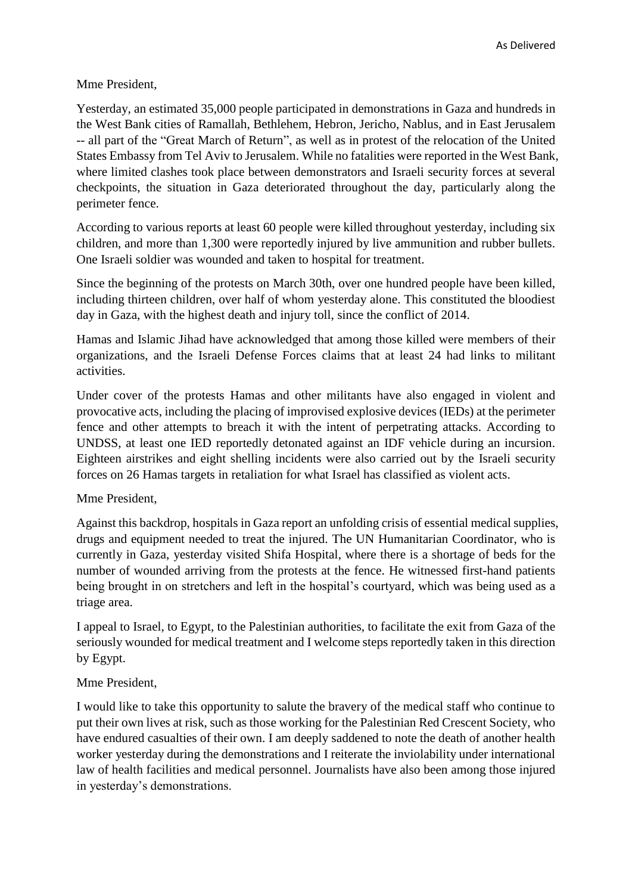Mme President,

Yesterday, an estimated 35,000 people participated in demonstrations in Gaza and hundreds in the West Bank cities of Ramallah, Bethlehem, Hebron, Jericho, Nablus, and in East Jerusalem -- all part of the "Great March of Return", as well as in protest of the relocation of the United States Embassy from Tel Aviv to Jerusalem. While no fatalities were reported in the West Bank, where limited clashes took place between demonstrators and Israeli security forces at several checkpoints, the situation in Gaza deteriorated throughout the day, particularly along the perimeter fence.

According to various reports at least 60 people were killed throughout yesterday, including six children, and more than 1,300 were reportedly injured by live ammunition and rubber bullets. One Israeli soldier was wounded and taken to hospital for treatment.

Since the beginning of the protests on March 30th, over one hundred people have been killed, including thirteen children, over half of whom yesterday alone. This constituted the bloodiest day in Gaza, with the highest death and injury toll, since the conflict of 2014.

Hamas and Islamic Jihad have acknowledged that among those killed were members of their organizations, and the Israeli Defense Forces claims that at least 24 had links to militant activities.

Under cover of the protests Hamas and other militants have also engaged in violent and provocative acts, including the placing of improvised explosive devices (IEDs) at the perimeter fence and other attempts to breach it with the intent of perpetrating attacks. According to UNDSS, at least one IED reportedly detonated against an IDF vehicle during an incursion. Eighteen airstrikes and eight shelling incidents were also carried out by the Israeli security forces on 26 Hamas targets in retaliation for what Israel has classified as violent acts.

Mme President,

Against this backdrop, hospitals in Gaza report an unfolding crisis of essential medical supplies, drugs and equipment needed to treat the injured. The UN Humanitarian Coordinator, who is currently in Gaza, yesterday visited Shifa Hospital, where there is a shortage of beds for the number of wounded arriving from the protests at the fence. He witnessed first-hand patients being brought in on stretchers and left in the hospital's courtyard, which was being used as a triage area.

I appeal to Israel, to Egypt, to the Palestinian authorities, to facilitate the exit from Gaza of the seriously wounded for medical treatment and I welcome steps reportedly taken in this direction by Egypt.

## Mme President,

I would like to take this opportunity to salute the bravery of the medical staff who continue to put their own lives at risk, such as those working for the Palestinian Red Crescent Society, who have endured casualties of their own. I am deeply saddened to note the death of another health worker yesterday during the demonstrations and I reiterate the inviolability under international law of health facilities and medical personnel. Journalists have also been among those injured in yesterday's demonstrations.